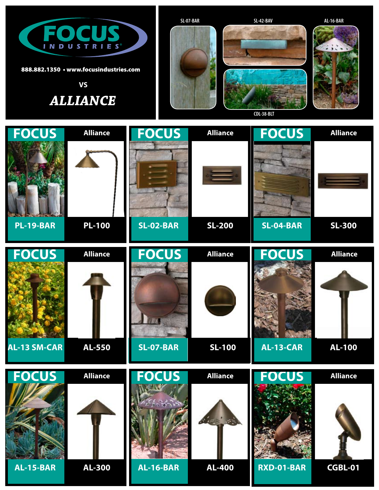